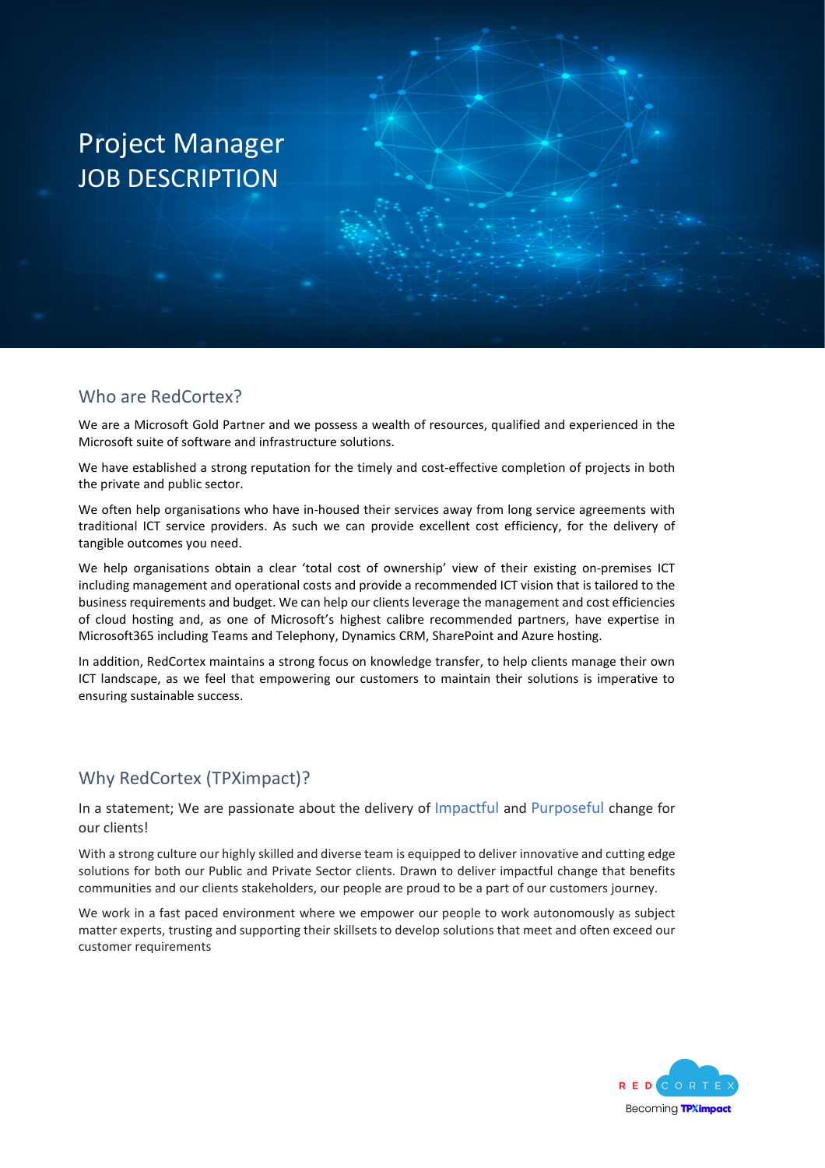# Project Manager JOB DESCRIPTION

#### Who are RedCortex?

We are a Microsoft Gold Partner and we possess a wealth of resources, qualified and experienced in the Microsoft suite of software and infrastructure solutions.

We have established a strong reputation for the timely and cost-effective completion of projects in both the private and public sector.

We often help organisations who have in-housed their services away from long service agreements with traditional ICT service providers. As such we can provide excellent cost efficiency, for the delivery of tangible outcomes you need.

We help organisations obtain a clear 'total cost of ownership' view of their existing on-premises ICT including management and operational costs and provide a recommended ICT vision that is tailored to the business requirements and budget. We can help our clients leverage the management and cost efficiencies of cloud hosting and, as one of Microsoft's highest calibre recommended partners, have expertise in Microsoft365 including Teams and Telephony, Dynamics CRM, SharePoint and Azure hosting.

In addition, RedCortex maintains a strong focus on knowledge transfer, to help clients manage their own ICT landscape, as we feel that empowering our customers to maintain their solutions is imperative to ensuring sustainable success.

#### Why RedCortex (TPXimpact)?

In a statement; We are passionate about the delivery of Impactful and Purposeful change for our clients!

With a strong culture our highly skilled and diverse team is equipped to deliver innovative and cutting edge solutions for both our Public and Private Sector clients. Drawn to deliver impactful change that benefits communities and our clients stakeholders, our people are proud to be a part of our customers journey.

We work in a fast paced environment where we empower our people to work autonomously as subject matter experts, trusting and supporting their skillsets to develop solutions that meet and often exceed our customer requirements

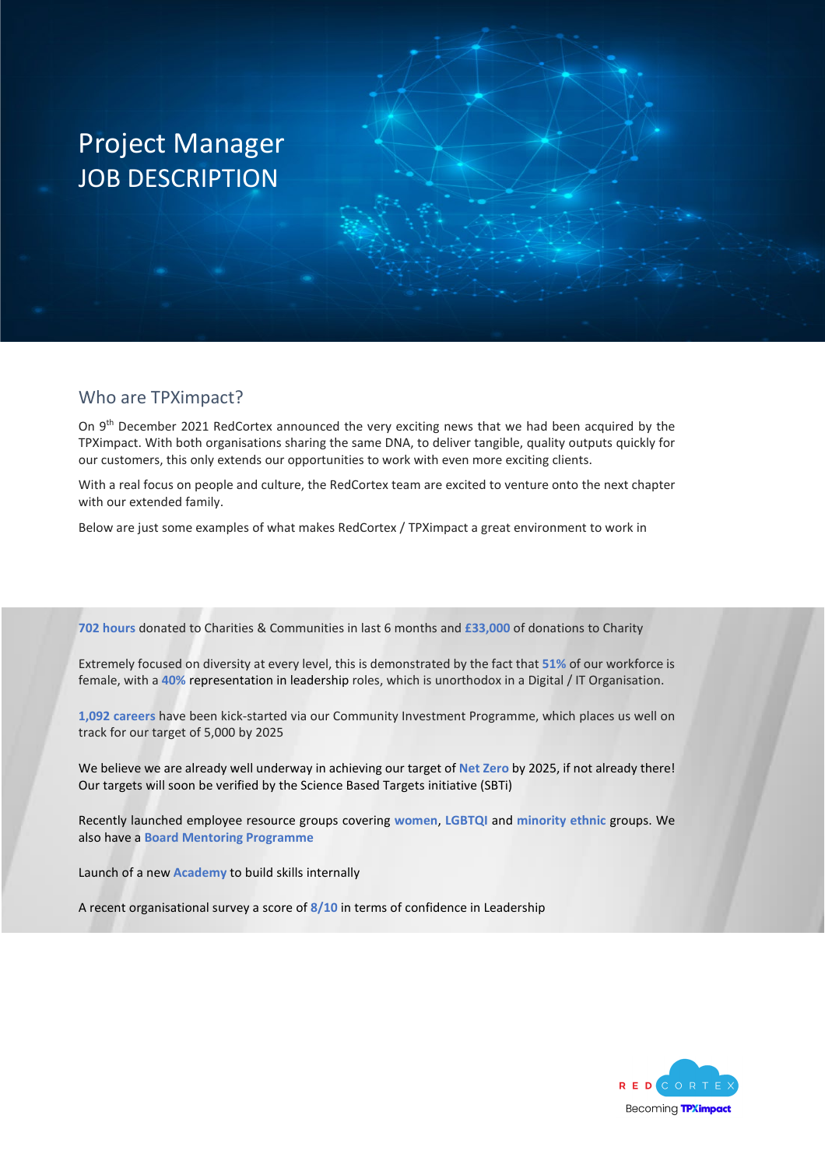# Project Manager JOB DESCRIPTION

#### Who are TPXimpact?

On 9<sup>th</sup> December 2021 RedCortex announced the very exciting news that we had been acquired by the TPXimpact. With both organisations sharing the same DNA, to deliver tangible, quality outputs quickly for our customers, this only extends our opportunities to work with even more exciting clients.

With a real focus on people and culture, the RedCortex team are excited to venture onto the next chapter with our extended family.

Below are just some examples of what makes RedCortex / TPXimpact a great environment to work in

**702 hours** donated to Charities & Communities in last 6 months and **£33,000** of donations to Charity

Extremely focused on diversity at every level, this is demonstrated by the fact that **51%** of our workforce is female, with a **40%** representation in leadership roles, which is unorthodox in a Digital / IT Organisation.

**1,092 careers** have been kick-started via our Community Investment Programme, which places us well on track for our target of 5,000 by 2025

We believe we are already well underway in achieving our target of **Net Zero** by 2025, if not already there! Our targets will soon be verified by the Science Based Targets initiative (SBTi)

Recently launched employee resource groups covering **women**, **LGBTQI** and **minority ethnic** groups. We also have a **Board Mentoring Programme**

Launch of a new **Academy** to build skills internally

A recent organisational survey a score of **8/10** in terms of confidence in Leadership

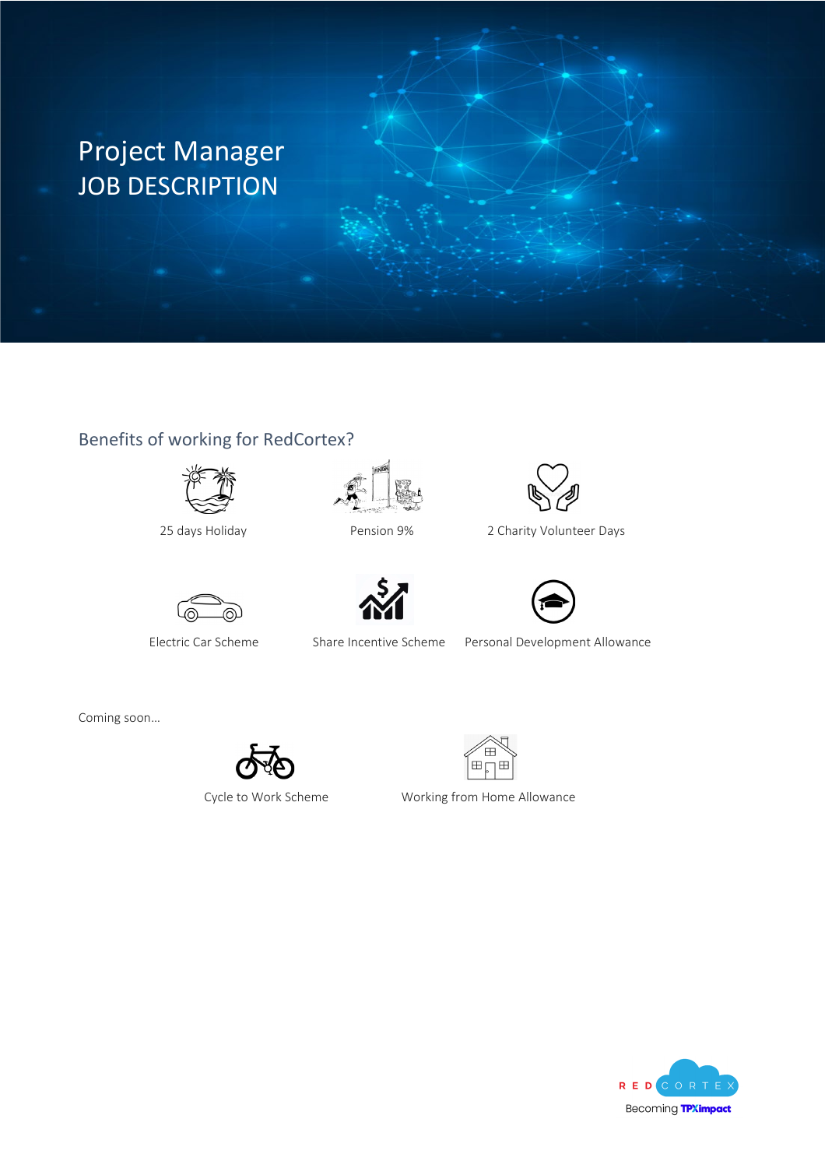# Project Manager JOB DESCRIPTION

### Benefits of working for RedCortex?









25 days Holiday Pension 9% 2 Charity Volunteer Days





Electric Car Scheme Share Incentive Scheme Personal Development Allowance

Coming soon…





Cycle to Work Scheme Working from Home Allowance

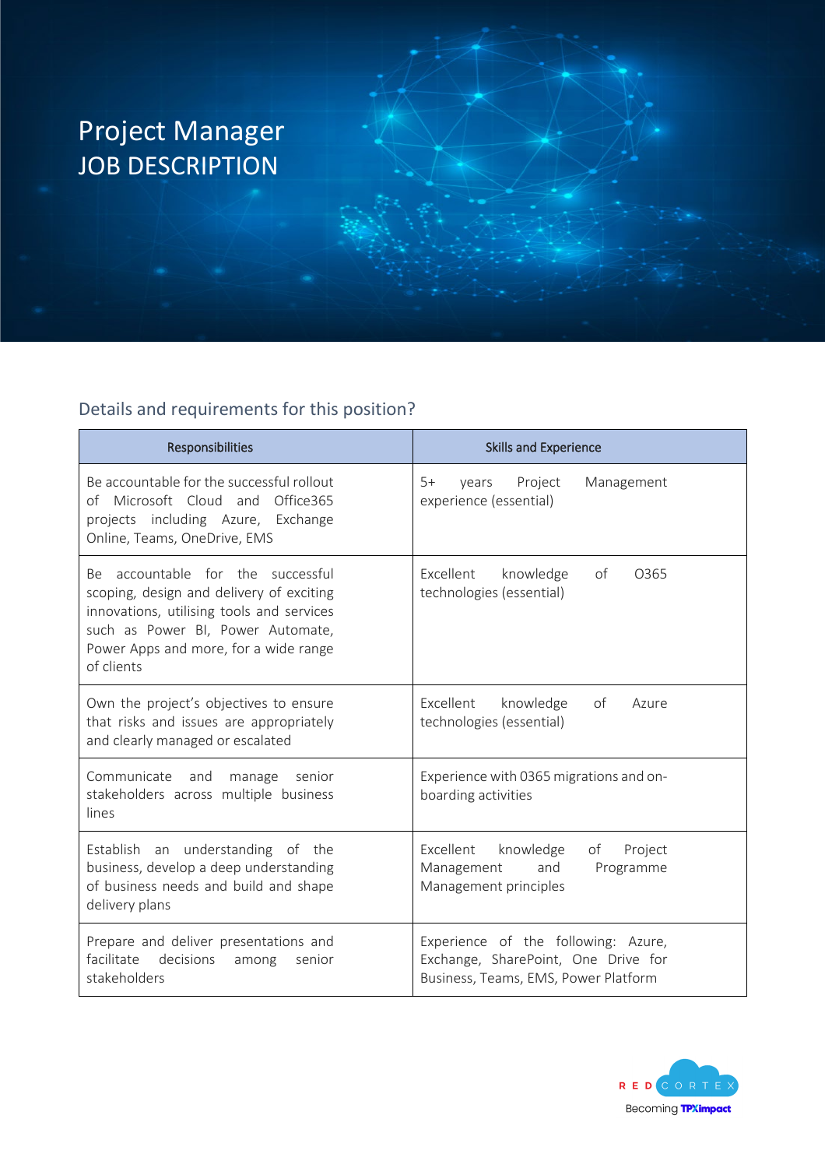

## Details and requirements for this position?

| Responsibilities                                                                                                                                                                                                       | <b>Skills and Experience</b>                                                                                       |
|------------------------------------------------------------------------------------------------------------------------------------------------------------------------------------------------------------------------|--------------------------------------------------------------------------------------------------------------------|
| Be accountable for the successful rollout<br>of Microsoft Cloud and<br>Office365<br>projects including Azure, Exchange<br>Online, Teams, OneDrive, EMS                                                                 | $5+$<br>Project<br>Management<br>vears<br>experience (essential)                                                   |
| Be accountable for the successful<br>scoping, design and delivery of exciting<br>innovations, utilising tools and services<br>such as Power BI, Power Automate,<br>Power Apps and more, for a wide range<br>of clients | Excellent<br>knowledge<br>of<br>O <sub>365</sub><br>technologies (essential)                                       |
| Own the project's objectives to ensure<br>that risks and issues are appropriately<br>and clearly managed or escalated                                                                                                  | Excellent<br>knowledge<br>of<br>Azure<br>technologies (essential)                                                  |
| Communicate<br>and<br>manage<br>senior<br>stakeholders across multiple business<br>lines                                                                                                                               | Experience with 0365 migrations and on-<br>boarding activities                                                     |
| Establish an understanding of the<br>business, develop a deep understanding<br>of business needs and build and shape<br>delivery plans                                                                                 | Excellent<br>knowledge<br>of<br>Project<br>and<br>Programme<br>Management<br>Management principles                 |
| Prepare and deliver presentations and<br>facilitate<br>decisions<br>among<br>senior<br>stakeholders                                                                                                                    | Experience of the following: Azure,<br>Exchange, SharePoint, One Drive for<br>Business, Teams, EMS, Power Platform |